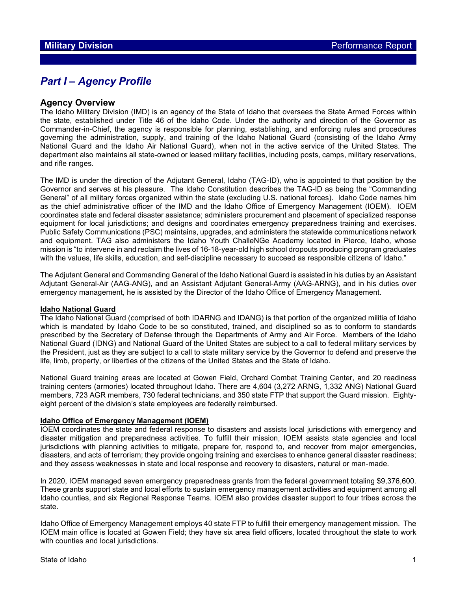## *Part I – Agency Profile*

### **Agency Overview**

The Idaho Military Division (IMD) is an agency of the State of Idaho that oversees the State Armed Forces within the state, established under Title 46 of the Idaho Code. Under the authority and direction of the Governor as Commander-in-Chief, the agency is responsible for planning, establishing, and enforcing rules and procedures governing the administration, supply, and training of the Idaho National Guard (consisting of the Idaho Army National Guard and the Idaho Air National Guard), when not in the active service of the United States. The department also maintains all state-owned or leased military facilities, including posts, camps, military reservations, and rifle ranges.

The IMD is under the direction of the Adjutant General, Idaho (TAG-ID), who is appointed to that position by the Governor and serves at his pleasure. The Idaho Constitution describes the TAG-ID as being the "Commanding General" of all military forces organized within the state (excluding U.S. national forces). Idaho Code names him as the chief administrative officer of the IMD and the Idaho Office of Emergency Management (IOEM). IOEM coordinates state and federal disaster assistance; administers procurement and placement of specialized response equipment for local jurisdictions; and designs and coordinates emergency preparedness training and exercises. Public Safety Communications (PSC) maintains, upgrades, and administers the statewide communications network and equipment. TAG also administers the Idaho Youth ChalleNGe Academy located in Pierce, Idaho, whose mission is "to intervene in and reclaim the lives of 16-18-year-old high school dropouts producing program graduates with the values, life skills, education, and self-discipline necessary to succeed as responsible citizens of Idaho."

The Adjutant General and Commanding General of the Idaho National Guard is assisted in his duties by an Assistant Adjutant General-Air (AAG-ANG), and an Assistant Adjutant General-Army (AAG-ARNG), and in his duties over emergency management, he is assisted by the Director of the Idaho Office of Emergency Management.

#### **Idaho National Guard**

The Idaho National Guard (comprised of both IDARNG and IDANG) is that portion of the organized militia of Idaho which is mandated by Idaho Code to be so constituted, trained, and disciplined so as to conform to standards prescribed by the Secretary of Defense through the Departments of Army and Air Force. Members of the Idaho National Guard (IDNG) and National Guard of the United States are subject to a call to federal military services by the President, just as they are subject to a call to state military service by the Governor to defend and preserve the life, limb, property, or liberties of the citizens of the United States and the State of Idaho.

National Guard training areas are located at Gowen Field, Orchard Combat Training Center, and 20 readiness training centers (armories) located throughout Idaho. There are 4,604 (3,272 ARNG, 1,332 ANG) National Guard members, 723 AGR members, 730 federal technicians, and 350 state FTP that support the Guard mission. Eightyeight percent of the division's state employees are federally reimbursed.

#### **Idaho Office of Emergency Management (IOEM)**

IOEM coordinates the state and federal response to disasters and assists local jurisdictions with emergency and disaster mitigation and preparedness activities. To fulfill their mission, IOEM assists state agencies and local jurisdictions with planning activities to mitigate, prepare for, respond to, and recover from major emergencies, disasters, and acts of terrorism; they provide ongoing training and exercises to enhance general disaster readiness; and they assess weaknesses in state and local response and recovery to disasters, natural or man-made.

In 2020, IOEM managed seven emergency preparedness grants from the federal government totaling \$9,376,600. These grants support state and local efforts to sustain emergency management activities and equipment among all Idaho counties, and six Regional Response Teams. IOEM also provides disaster support to four tribes across the state.

Idaho Office of Emergency Management employs 40 state FTP to fulfill their emergency management mission. The IOEM main office is located at Gowen Field; they have six area field officers, located throughout the state to work with counties and local jurisdictions.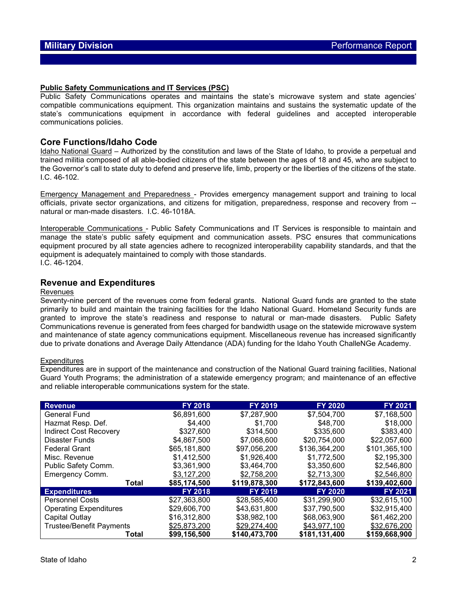#### **Public Safety Communications and IT Services (PSC)**

Public Safety Communications operates and maintains the state's microwave system and state agencies' compatible communications equipment. This organization maintains and sustains the systematic update of the state's communications equipment in accordance with federal guidelines and accepted interoperable communications policies.

#### **Core Functions/Idaho Code**

Idaho National Guard – Authorized by the constitution and laws of the State of Idaho, to provide a perpetual and trained militia composed of all able-bodied citizens of the state between the ages of 18 and 45, who are subject to the Governor's call to state duty to defend and preserve life, limb, property or the liberties of the citizens of the state. I.C. 46-102.

Emergency Management and Preparedness - Provides emergency management support and training to local officials, private sector organizations, and citizens for mitigation, preparedness, response and recovery from - natural or man-made disasters. I.C. 46-1018A.

Interoperable Communications - Public Safety Communications and IT Services is responsible to maintain and manage the state's public safety equipment and communication assets. PSC ensures that communications equipment procured by all state agencies adhere to recognized interoperability capability standards, and that the equipment is adequately maintained to comply with those standards. I.C. 46-1204.

#### **Revenue and Expenditures**

#### Revenues

Seventy-nine percent of the revenues come from federal grants. National Guard funds are granted to the state primarily to build and maintain the training facilities for the Idaho National Guard. Homeland Security funds are granted to improve the state's readiness and response to natural or man-made disasters. Public Safety Communications revenue is generated from fees charged for bandwidth usage on the statewide microwave system and maintenance of state agency communications equipment. Miscellaneous revenue has increased significantly due to private donations and Average Daily Attendance (ADA) funding for the Idaho Youth ChalleNGe Academy.

#### **Expenditures**

Expenditures are in support of the maintenance and construction of the National Guard training facilities, National Guard Youth Programs; the administration of a statewide emergency program; and maintenance of an effective and reliable interoperable communications system for the state.

| <b>Revenue</b>                  | <b>FY 2018</b> | <b>FY 2019</b>               | <b>FY 2020</b> | FY 2021        |
|---------------------------------|----------------|------------------------------|----------------|----------------|
| <b>General Fund</b>             | \$6,891,600    | \$7,287,900                  | \$7,504,700    | \$7,168,500    |
| Hazmat Resp. Def.               | \$4,400        | \$1,700                      | \$48,700       | \$18,000       |
| <b>Indirect Cost Recovery</b>   | \$327,600      | \$314,500                    | \$335,600      | \$383,400      |
| <b>Disaster Funds</b>           | \$4,867,500    | \$7,068,600                  | \$20,754,000   | \$22,057,600   |
| <b>Federal Grant</b>            | \$65,181,800   | \$97,056,200                 | \$136,364,200  | \$101,365,100  |
| Misc. Revenue                   | \$1,412,500    | \$1,926,400                  | \$1,772,500    | \$2,195,300    |
| Public Safety Comm.             | \$3,361,900    | \$3,464,700                  | \$3,350,600    | \$2,546,800    |
| Emergency Comm.                 | \$3,127,200    | \$2,758,200                  | \$2,713,300    | \$2,546,800    |
| Total                           | \$85,174,500   | \$119,878,300                | \$172,843,600  | \$139,402,600  |
| <b>Expenditures</b>             | <b>FY 2018</b> | <b>FY 2019</b>               | <b>FY 2020</b> | <b>FY 2021</b> |
| <b>Personnel Costs</b>          | \$27,363,800   | \$28,585,400                 | \$31,299,900   | \$32,615,100   |
| <b>Operating Expenditures</b>   | \$29,606,700   | \$43,631,800                 | \$37,790,500   | \$32,915,400   |
| Capital Outlay                  | \$16,312,800   | \$38,982,100                 | \$68,063,900   | \$61,462,200   |
| <b>Trustee/Benefit Payments</b> | \$25,873,200   | \$29,274,400<br>\$43,977,100 |                | \$32,676,200   |
| Total                           | \$99,156,500   | \$140,473,700                | \$181,131,400  | \$159,668,900  |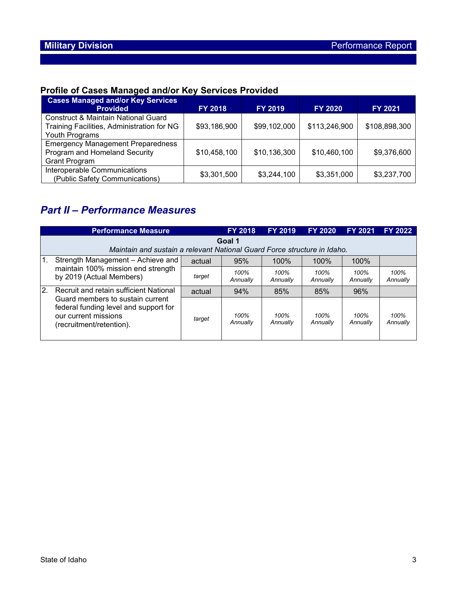# **Profile of Cases Managed and/or Key Services Provided**

| <b>Cases Managed and/or Key Services</b><br><b>Provided</b>                                                    | <b>FY 2018</b> | <b>FY 2019</b> | <b>FY 2020</b> | <b>FY 2021</b> |
|----------------------------------------------------------------------------------------------------------------|----------------|----------------|----------------|----------------|
| <b>Construct &amp; Maintain National Guard</b><br>Training Facilities, Administration for NG<br>Youth Programs | \$93,186,900   | \$99,102,000   | \$113,246,900  | \$108,898,300  |
| <b>Emergency Management Preparedness</b><br>Program and Homeland Security<br><b>Grant Program</b>              | \$10,458,100   | \$10,136,300   | \$10,460,100   | \$9,376,600    |
| Interoperable Communications<br>(Public Safety Communications)                                                 | \$3,301,500    | \$3,244,100    | \$3,351,000    | \$3,237,700    |

## *Part II – Performance Measures*

|                | <b>Performance Measure</b>                                                                                                                                                     |        | <b>FY 2018</b>   | <b>FY 2019</b>   | <b>FY 2020</b>   | <b>FY 2021</b>   | <b>FY 2022</b>   |  |
|----------------|--------------------------------------------------------------------------------------------------------------------------------------------------------------------------------|--------|------------------|------------------|------------------|------------------|------------------|--|
|                | Goal 1<br>Maintain and sustain a relevant National Guard Force structure in Idaho.                                                                                             |        |                  |                  |                  |                  |                  |  |
| $\mathbf{1}$ . | Strength Management - Achieve and                                                                                                                                              | actual | 95%              | 100%             | 100%             | 100%             |                  |  |
|                | maintain 100% mission end strength<br>by 2019 (Actual Members)                                                                                                                 | target | 100%<br>Annually | 100%<br>Annually | 100%<br>Annually | 100%<br>Annually | 100%<br>Annually |  |
| 2.             | <b>Recruit and retain sufficient National</b><br>Guard members to sustain current<br>federal funding level and support for<br>our current missions<br>(recruitment/retention). | actual | 94%              | 85%              | 85%              | 96%              |                  |  |
|                |                                                                                                                                                                                | target | 100%<br>Annually | 100%<br>Annually | 100%<br>Annually | 100%<br>Annually | 100%<br>Annually |  |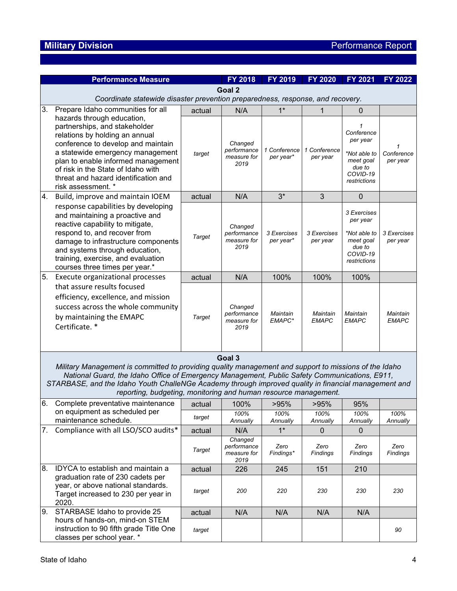|     | <b>Performance Measure</b>                                                                                                                                                                                                                                                                                                                                                                  |        | <b>FY 2018</b>                                | FY 2019                   | <b>FY 2020</b>           | FY 2021                                                                                    | FY 2022                     |  |
|-----|---------------------------------------------------------------------------------------------------------------------------------------------------------------------------------------------------------------------------------------------------------------------------------------------------------------------------------------------------------------------------------------------|--------|-----------------------------------------------|---------------------------|--------------------------|--------------------------------------------------------------------------------------------|-----------------------------|--|
|     | Goal 2                                                                                                                                                                                                                                                                                                                                                                                      |        |                                               |                           |                          |                                                                                            |                             |  |
|     | Coordinate statewide disaster prevention preparedness, response, and recovery.                                                                                                                                                                                                                                                                                                              |        |                                               |                           |                          |                                                                                            |                             |  |
| 3.  | Prepare Idaho communities for all                                                                                                                                                                                                                                                                                                                                                           | actual | N/A                                           | $1^*$                     | 1                        | $\Omega$                                                                                   |                             |  |
|     | hazards through education,<br>partnerships, and stakeholder<br>relations by holding an annual<br>conference to develop and maintain<br>a statewide emergency management<br>plan to enable informed management<br>of risk in the State of Idaho with<br>threat and hazard identification and<br>risk assessment. *                                                                           | target | Changed<br>performance<br>measure for<br>2019 | 1 Conference<br>per year* | 1 Conference<br>per year | Conference<br>per year<br>*Not able to<br>meet goal<br>due to<br>COVID-19<br>restrictions  | 1<br>Conference<br>per year |  |
| 4.  | Build, improve and maintain IOEM                                                                                                                                                                                                                                                                                                                                                            | actual | N/A                                           | $3^*$                     | 3                        | $\mathbf 0$                                                                                |                             |  |
|     | response capabilities by developing<br>and maintaining a proactive and<br>reactive capability to mitigate,<br>respond to, and recover from<br>damage to infrastructure components<br>and systems through education,<br>training, exercise, and evaluation<br>courses three times per year.*                                                                                                 | Target | Changed<br>performance<br>measure for<br>2019 | 3 Exercises<br>per year*  | 3 Exercises<br>per year  | 3 Exercises<br>per year<br>*Not able to<br>meet goal<br>due to<br>COVID-19<br>restrictions | 3 Exercises<br>per year     |  |
| 5.  | Execute organizational processes                                                                                                                                                                                                                                                                                                                                                            | actual | N/A                                           | 100%                      | 100%                     | 100%                                                                                       |                             |  |
|     | that assure results focused<br>efficiency, excellence, and mission<br>success across the whole community<br>by maintaining the EMAPC<br>Certificate. *                                                                                                                                                                                                                                      | Target | Changed<br>performance<br>measure for<br>2019 | Maintain<br>EMAPC*        | Maintain<br><b>EMAPC</b> | Maintain<br>EMAPC                                                                          | Maintain<br><b>EMAPC</b>    |  |
|     | Goal 3<br>Military Management is committed to providing quality management and support to missions of the Idaho<br>National Guard, the Idaho Office of Emergency Management, Public Safety Communications, E911,<br>STARBASE, and the Idaho Youth ChalleNGe Academy through improved quality in financial management and<br>reporting, budgeting, monitoring and human resource management. |        |                                               |                           |                          |                                                                                            |                             |  |
| l6. | Complete preventative maintenance                                                                                                                                                                                                                                                                                                                                                           | actual | 100%                                          | >95%                      | >95%                     | 95%                                                                                        |                             |  |
|     | on equipment as scheduled per<br>maintenance schedule.                                                                                                                                                                                                                                                                                                                                      | target | 100%<br>Annually                              | 100%<br>Annually          | 100%<br>Annually         | 100%<br>Annually                                                                           | 100%<br>Annually            |  |
| 7.  | Compliance with all LSO/SCO audits*                                                                                                                                                                                                                                                                                                                                                         | actual | N/A                                           | $1*$                      | 0                        | 0                                                                                          |                             |  |
|     |                                                                                                                                                                                                                                                                                                                                                                                             | Target | Changed<br>performance<br>measure for<br>2019 | Zero<br>Findings*         | Zero<br>Findings         | Zero<br>Findings                                                                           | Zero<br>Findings            |  |
| 8.  | IDYCA to establish and maintain a                                                                                                                                                                                                                                                                                                                                                           | actual | 226                                           | 245                       | 151                      | 210                                                                                        |                             |  |
|     | graduation rate of 230 cadets per<br>year, or above national standards.<br>Target increased to 230 per year in<br>2020.                                                                                                                                                                                                                                                                     | target | 200                                           | 220                       | 230                      | 230                                                                                        | 230                         |  |
| 9.  | STARBASE Idaho to provide 25                                                                                                                                                                                                                                                                                                                                                                | actual | N/A                                           | N/A                       | N/A                      | N/A                                                                                        |                             |  |
|     | hours of hands-on, mind-on STEM<br>instruction to 90 fifth grade Title One<br>classes per school year. *                                                                                                                                                                                                                                                                                    | target |                                               |                           |                          |                                                                                            | 90                          |  |